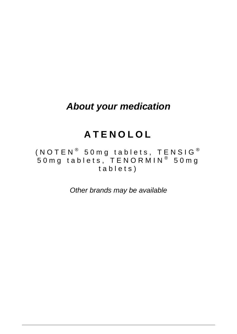# *About your medication*

# **ATENOLOL**

(<code>NOTEN $^{\circledR}$  50</code>mg tablets, <code>TENSIG</code>  $^{\circledR}$ 50mg tablets, TENORMIN® 50mg tablets )

*Other brands may be available*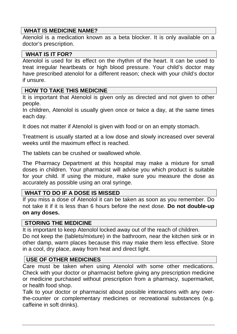#### **WHAT IS MEDICINE NAME?**

Atenolol is a medication known as a beta blocker. It is only available on a doctor's prescription.

#### **WHAT IS IT FOR?**

Atenolol is used for its effect on the rhythm of the heart. It can be used to treat irregular heartbeats or high blood pressure. Your child's doctor may have prescribed atenolol for a different reason; check with your child's doctor if unsure.

#### **HOW TO TAKE THIS MEDICINE**

It is important that Atenolol is given only as directed and not given to other people.

In children, Atenolol is usually given once or twice a day, at the same times each day.

It does not matter if Atenolol is given with food or on an empty stomach.

Treatment is usually started at a low dose and slowly increased over several weeks until the maximum effect is reached.

The tablets can be crushed or swallowed whole.

The Pharmacy Department at this hospital may make a mixture for small doses in children. Your pharmacist will advise you which product is suitable for your child. If using the mixture, make sure you measure the dose as accurately as possible using an oral syringe.

#### **WHAT TO DO IF A DOSE IS MISSED**

If you miss a dose of Atenolol it can be taken as soon as you remember. Do not take it if it is less than 6 hours before the next dose. **Do not double-up on any doses.**

#### **STORING THE MEDICINE**

It is important to keep Atenolol locked away out of the reach of children. Do not keep the (tablets/mixture) in the bathroom, near the kitchen sink or in other damp, warm places because this may make them less effective. Store in a cool, dry place, away from heat and direct light.

#### **USE OF OTHER MEDICINES**

Care must be taken when using Atenolol with some other medications. Check with your doctor or pharmacist before giving any prescription medicine or medicine purchased without prescription from a pharmacy, supermarket, or health food shop.

Talk to your doctor or pharmacist about possible interactions with any overthe-counter or complementary medicines or recreational substances (e.g. caffeine in soft drinks).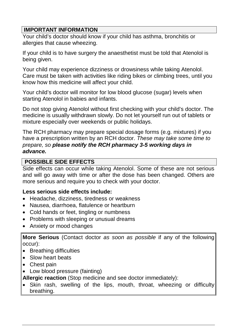# **IMPORTANT INFORMATION**

Your child's doctor should know if your child has asthma, bronchitis or allergies that cause wheezing.

If your child is to have surgery the anaesthetist must be told that Atenolol is being given.

Your child may experience dizziness or drowsiness while taking Atenolol. Care must be taken with activities like riding bikes or climbing trees, until you know how this medicine will affect your child.

Your child's doctor will monitor for low blood glucose (sugar) levels when starting Atenolol in babies and infants.

Do not stop giving Atenolol without first checking with your child's doctor. The medicine is usually withdrawn slowly. Do not let yourself run out of tablets or mixture especially over weekends or public holidays.

The RCH pharmacy may prepare special dosage forms (e.g. mixtures) if you have a prescription written by an RCH doctor. *These may take some time to prepare, so please notify the RCH pharmacy 3-5 working days in advance.* 

## **POSSIBLE SIDE EFFECTS**

Side effects can occur while taking Atenolol. Some of these are not serious and will go away with time or after the dose has been changed. Others are more serious and require you to check with your doctor.

## **Less serious side effects include:**

- Headache, dizziness, tiredness or weakness
- Nausea, diarrhoea, flatulence or heartburn
- Cold hands or feet, tingling or numbness
- Problems with sleeping or unusual dreams
- Anxiety or mood changes

**More Serious** (Contact doctor *as soon as possible* if any of the following occur):

- Breathing difficulties
- Slow heart beats
- Chest pain
- Low blood pressure (fainting)

**Allergic reaction** (Stop medicine and see doctor immediately):

• Skin rash, swelling of the lips, mouth, throat, wheezing or difficulty breathing.